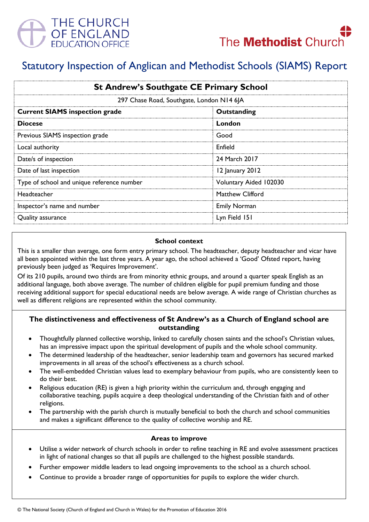

# Statutory Inspection of Anglican and Methodist Schools (SIAMS) Report

| <b>St Andrew's Southgate CE Primary School</b> |                        |
|------------------------------------------------|------------------------|
| 297 Chase Road, Southgate, London N14 6JA      |                        |
| <b>Current SIAMS inspection grade</b>          | Outstanding            |
| <b>Diocese</b>                                 | London                 |
| Previous SIAMS inspection grade                | Good                   |
| Local authority                                | Enfield                |
| Date/s of inspection                           | 24 March 2017          |
| Date of last inspection                        | 12 January 2012        |
| Type of school and unique reference number     | Voluntary Aided 102030 |
| Headteacher                                    | Matthew Clifford       |
| Inspector's name and number                    | <b>Emily Norman</b>    |
| Quality assurance                              | Lyn Field 151          |

# **School context**

This is a smaller than average, one form entry primary school. The headteacher, deputy headteacher and vicar have all been appointed within the last three years. A year ago, the school achieved a 'Good' Ofsted report, having previously been judged as 'Requires Improvement'.

Of its 210 pupils, around two thirds are from minority ethnic groups, and around a quarter speak English as an additional language, both above average. The number of children eligible for pupil premium funding and those receiving additional support for special educational needs are below average. A wide range of Christian churches as well as different religions are represented within the school community.

# **The distinctiveness and effectiveness of St Andrew's as a Church of England school are outstanding**

- Thoughtfully planned collective worship, linked to carefully chosen saints and the school's Christian values, has an impressive impact upon the spiritual development of pupils and the whole school community.
- The determined leadership of the headteacher, senior leadership team and governors has secured marked improvements in all areas of the school's effectiveness as a church school.
- The well-embedded Christian values lead to exemplary behaviour from pupils, who are consistently keen to do their best.
- Religious education (RE) is given a high priority within the curriculum and, through engaging and collaborative teaching, pupils acquire a deep theological understanding of the Christian faith and of other religions.
- The partnership with the parish church is mutually beneficial to both the church and school communities and makes a significant difference to the quality of collective worship and RE.

# **Areas to improve**

- Utilise a wider network of church schools in order to refine teaching in RE and evolve assessment practices in light of national changes so that all pupils are challenged to the highest possible standards.
- Further empower middle leaders to lead ongoing improvements to the school as a church school.
- Continue to provide a broader range of opportunities for pupils to explore the wider church.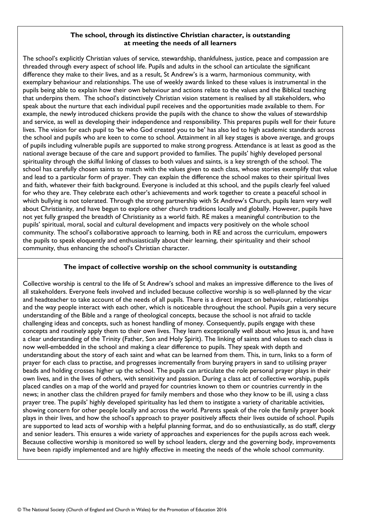#### **The school, through its distinctive Christian character, is outstanding at meeting the needs of all learners**

The school's explicitly Christian values of service, stewardship, thankfulness, justice, peace and compassion are threaded through every aspect of school life. Pupils and adults in the school can articulate the significant difference they make to their lives, and as a result, St Andrew's is a warm, harmonious community, with exemplary behaviour and relationships. The use of weekly awards linked to these values is instrumental in the pupils being able to explain how their own behaviour and actions relate to the values and the Biblical teaching that underpins them. The school's distinctively Christian vision statement is realised by all stakeholders, who speak about the nurture that each individual pupil receives and the opportunities made available to them. For example, the newly introduced chickens provide the pupils with the chance to show the values of stewardship and service, as well as developing their independence and responsibility. This prepares pupils well for their future lives. The vision for each pupil to 'be who God created you to be' has also led to high academic standards across the school and pupils who are keen to come to school. Attainment in all key stages is above average, and groups of pupils including vulnerable pupils are supported to make strong progress. Attendance is at least as good as the national average because of the care and support provided to families. The pupils' highly developed personal spirituality through the skilful linking of classes to both values and saints, is a key strength of the school. The school has carefully chosen saints to match with the values given to each class, whose stories exemplify that value and lead to a particular form of prayer. They can explain the difference the school makes to their spiritual lives and faith, whatever their faith background. Everyone is included at this school, and the pupils clearly feel valued for who they are. They celebrate each other's achievements and work together to create a peaceful school in which bullying is not tolerated. Through the strong partnership with St Andrew's Church, pupils learn very well about Christianity, and have begun to explore other church traditions locally and globally. However, pupils have not yet fully grasped the breadth of Christianity as a world faith. RE makes a meaningful contribution to the pupils' spiritual, moral, social and cultural development and impacts very positively on the whole school community. The school's collaborative approach to learning, both in RE and across the curriculum, empowers the pupils to speak eloquently and enthusiastically about their learning, their spirituality and their school community, thus enhancing the school's Christian character.

# **The impact of collective worship on the school community is outstanding**

Collective worship is central to the life of St Andrew's school and makes an impressive difference to the lives of all stakeholders. Everyone feels involved and included because collective worship is so well-planned by the vicar and headteacher to take account of the needs of all pupils. There is a direct impact on behaviour, relationships and the way people interact with each other, which is noticeable throughout the school. Pupils gain a very secure understanding of the Bible and a range of theological concepts, because the school is not afraid to tackle challenging ideas and concepts, such as honest handling of money. Consequently, pupils engage with these concepts and routinely apply them to their own lives. They learn exceptionally well about who Jesus is, and have a clear understanding of the Trinity (Father, Son and Holy Spirit). The linking of saints and values to each class is now well-embedded in the school and making a clear difference to pupils. They speak with depth and understanding about the story of each saint and what can be learned from them. This, in turn, links to a form of prayer for each class to practise, and progresses incrementally from burying prayers in sand to utilising prayer beads and holding crosses higher up the school. The pupils can articulate the role personal prayer plays in their own lives, and in the lives of others, with sensitivity and passion. During a class act of collective worship, pupils placed candles on a map of the world and prayed for countries known to them or countries currently in the news; in another class the children prayed for family members and those who they know to be ill, using a class prayer tree. The pupils' highly developed spirituality has led them to instigate a variety of charitable activities, showing concern for other people locally and across the world. Parents speak of the role the family prayer book plays in their lives, and how the school's approach to prayer positively affects their lives outside of school. Pupils are supported to lead acts of worship with a helpful planning format, and do so enthusiastically, as do staff, clergy and senior leaders. This ensures a wide variety of approaches and experiences for the pupils across each week. Because collective worship is monitored so well by school leaders, clergy and the governing body, improvements have been rapidly implemented and are highly effective in meeting the needs of the whole school community.